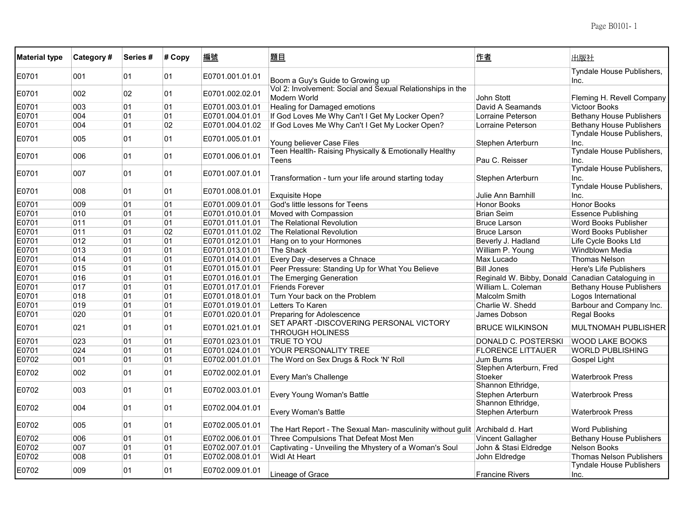| <b>Material type</b> | Category# | Series# | # Copy | 編號              | 題目                                                                            | 作者                                                | 出版社                               |
|----------------------|-----------|---------|--------|-----------------|-------------------------------------------------------------------------------|---------------------------------------------------|-----------------------------------|
| E0701                | 001       | 01      | 01     | E0701.001.01.01 | Boom a Guy's Guide to Growing up                                              |                                                   | Tyndale House Publishers,<br>Inc. |
| E0701                | 002       | 02      | 01     | E0701.002.02.01 | Vol 2: Involvement: Social and Sexual Relationships in the<br>Modern World    | <b>John Stott</b>                                 | Fleming H. Revell Company         |
| E0701                | 003       | 01      | 01     | E0701.003.01.01 | <b>Healing for Damaged emotions</b>                                           | David A Seamands                                  | <b>Victoor Books</b>              |
| E0701                | 004       | 01      | 01     | E0701.004.01.01 | If God Loves Me Why Can't I Get My Locker Open?                               | Lorraine Peterson                                 | <b>Bethany House Publishers</b>   |
| E0701                | 004       | 01      | 02     | E0701.004.01.02 | If God Loves Me Why Can't I Get My Locker Open?                               | Lorraine Peterson                                 | <b>Bethany House Publishers</b>   |
| E0701                | 005       | 01      | 01     | E0701.005.01.01 | Young believer Case Files                                                     | Stephen Arterburn                                 | Tyndale House Publishers,<br>Inc. |
| E0701                | 006       | 01      | 01     | E0701.006.01.01 | Teen Healtlh- Raising Physically & Emotionally Healthy<br>Teens               | Pau C. Reisser                                    | Tyndale House Publishers,<br>Inc. |
| E0701                | 007       | 01      | 01     | E0701.007.01.01 | Transformation - turn your life around starting today                         | Stephen Arterburn                                 | Tyndale House Publishers,<br>Inc. |
| E0701                | 008       | 01      | 01     | E0701.008.01.01 | <b>Exquisite Hope</b>                                                         | Julie Ann Barnhill                                | Tyndale House Publishers,<br>Inc. |
| E0701                | 009       | 01      | 01     | E0701.009.01.01 | God's little lessons for Teens                                                | <b>Honor Books</b>                                | <b>Honor Books</b>                |
| E0701                | 010       | 01      | 01     | E0701.010.01.01 | Moved with Compassion                                                         | <b>Brian Seim</b>                                 | <b>Essence Publishing</b>         |
|                      | 011       | 01      | 01     |                 | The Relational Revolution                                                     |                                                   | <b>Word Books Publisher</b>       |
| E0701                |           |         | 02     | E0701.011.01.01 |                                                                               | <b>Bruce Larson</b>                               |                                   |
| E0701                | 011       | 01      |        | E0701.011.01.02 | The Relational Revolution                                                     | <b>Bruce Larson</b>                               | Word Books Publisher              |
| E0701                | 012       | 01      | 01     | E0701.012.01.01 | Hang on to your Hormones                                                      | Beverly J. Hadland                                | Life Cycle Books Ltd              |
| E0701                | 013       | 01      | 01     | E0701.013.01.01 | The Shack                                                                     | William P. Young                                  | Windblown Media                   |
| E0701                | 014       | 01      | 01     | E0701.014.01.01 | Every Day -deserves a Chnace                                                  | Max Lucado                                        | <b>Thomas Nelson</b>              |
| E0701                | 015       | 01      | 01     | E0701.015.01.01 | Peer Pressure: Standing Up for What You Believe                               | <b>Bill Jones</b>                                 | Here's Life Publishers            |
| E0701                | 016       | 01      | 01     | E0701.016.01.01 | The Emerging Generation                                                       | Reginald W. Bibby, Donald Canadian Cataloguing in |                                   |
| E0701                | 017       | 01      | 01     | E0701.017.01.01 | <b>Friends Forever</b>                                                        | William L. Coleman                                | <b>Bethany House Publishers</b>   |
| E0701                | 018       | 01      | 01     | E0701.018.01.01 | Turn Your back on the Problem                                                 | <b>Malcolm Smith</b>                              | Logos International               |
| E0701                | 019       | 01      | 01     | E0701.019.01.01 | Letters To Karen                                                              | Charlie W. Shedd                                  | Barbour and Company Inc.          |
| E0701                | 020       | 01      | 01     | E0701.020.01.01 | Preparing for Adolescence                                                     | James Dobson                                      | Regal Books                       |
| E0701                | 021       | 01      | 01     | E0701.021.01.01 | SET APART -DISCOVERING PERSONAL VICTORY<br><b>THROUGH HOLINESS</b>            | <b>BRUCE WILKINSON</b>                            | <b>MULTNOMAH PUBLISHER</b>        |
| E0701                | 023       | 01      | 01     | E0701.023.01.01 | <b>TRUE TO YOU</b>                                                            | DONALD C. POSTERSKI                               | <b>WOOD LAKE BOOKS</b>            |
| E0701                | 024       | 01      | 01     | E0701.024.01.01 | YOUR PERSONALITY TREE                                                         | <b>FLORENCE LITTAUER</b>                          | <b>WORLD PUBLISHING</b>           |
| E0702                | 001       | 01      | 01     | E0702.001.01.01 | The Word on Sex Drugs & Rock 'N' Roll                                         | Jum Burns                                         | Gospel Light                      |
| E0702                | 002       | 01      | 01     | E0702.002.01.01 | Every Man's Challenge                                                         | Stephen Arterburn, Fred<br>Stoeker                | <b>Waterbrook Press</b>           |
| E0702                | 003       | 01      | 01     | E0702.003.01.01 | Every Young Woman's Battle                                                    | Shannon Ethridge,<br>Stephen Arterburn            | <b>Waterbrook Press</b>           |
| E0702                | 004       | 01      | 01     | E0702.004.01.01 | Every Woman's Battle                                                          | Shannon Ethridge,<br>Stephen Arterburn            | <b>Waterbrook Press</b>           |
| E0702                | 005       | 01      | 01     | E0702.005.01.01 | The Hart Report - The Sexual Man- masculinity without gulit Archibald d. Hart |                                                   | Word Publishing                   |
| E0702                | 006       | 01      | 01     | E0702.006.01.01 | Three Compulsions That Defeat Most Men                                        | <b>Vincent Gallagher</b>                          | <b>Bethany House Publishers</b>   |
| E0702                | 007       | 01      | 01     | E0702.007.01.01 | Captivating - Unveiling the Mhystery of a Woman's Soul                        | John & Stasi Eldredge                             | Nelson Books                      |
| E0702                | 008       | 01      | 01     | E0702.008.01.01 | Widl At Heart                                                                 | John Eldredge                                     | <b>Thomas Nelson Publishers</b>   |
|                      |           |         |        |                 |                                                                               |                                                   | <b>Tyndale House Publishers</b>   |
| E0702                | 009       | 01      | 01     | E0702.009.01.01 | Lineage of Grace                                                              | <b>Francine Rivers</b>                            | Inc.                              |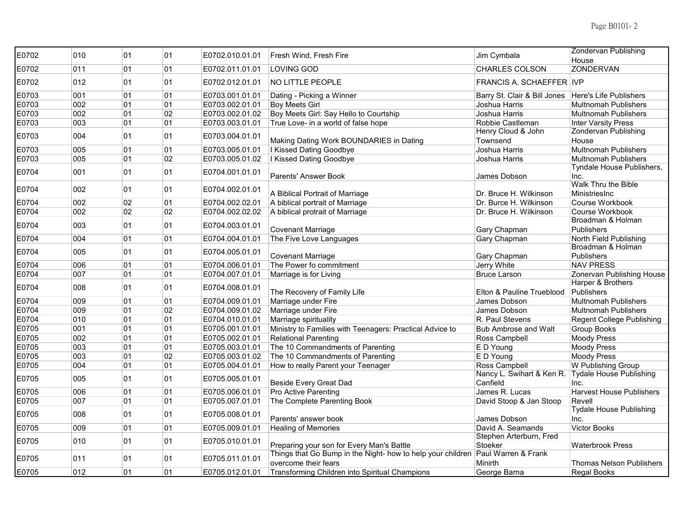| E0702 | 010 | 01 | 01 | E0702.010.01.01 | Fresh Wind, Fresh Fire                                                          | Jim Cymbala                     | <b>Zondervan Publishing</b>     |
|-------|-----|----|----|-----------------|---------------------------------------------------------------------------------|---------------------------------|---------------------------------|
|       |     |    |    |                 |                                                                                 |                                 | House                           |
| E0702 | 011 | 01 | 01 | E0702.011.01.01 | LOVING GOD                                                                      | CHARLES COLSON                  | <b>ZONDERVAN</b>                |
| E0702 | 012 | 01 | 01 | E0702.012.01.01 | <b>NO LITTLE PEOPLE</b>                                                         | <b>FRANCIS A. SCHAEFFER IVP</b> |                                 |
| E0703 | 001 | 01 | 01 | E0703.001.01.01 | Dating - Picking a Winner                                                       | Barry St. Clair & Bill Jones    | Here's Life Publishers          |
| E0703 | 002 | 01 | 01 | E0703.002.01.01 | <b>Boy Meets Girl</b>                                                           | Joshua Harris                   | <b>Multnomah Publishers</b>     |
| E0703 | 002 | 01 | 02 | E0703.002.01.02 | Boy Meets Girl: Say Hello to Courtship                                          | Joshua Harris                   | <b>Multnomah Publishers</b>     |
| E0703 | 003 | 01 | 01 | E0703.003.01.01 | True Love- in a world of false hope                                             | Robbie Castleman                | <b>Inter Varsity Press</b>      |
| E0703 | 004 | 01 | 01 | E0703.004.01.01 |                                                                                 | Henry Cloud & John              | Zondervan Publishing            |
|       |     |    |    |                 | Making Dating Work BOUNDARIES in Dating                                         | Townsend                        | House                           |
| E0703 | 005 | 01 | 01 | E0703.005.01.01 | I Kissed Dating Goodbye                                                         | Joshua Harris                   | <b>Multnomah Publishers</b>     |
| E0703 | 005 | 01 | 02 | E0703.005.01.02 | I Kissed Dating Goodbye                                                         | Joshua Harris                   | <b>Multnomah Publishers</b>     |
| E0704 | 001 | 01 | 01 | E0704.001.01.01 |                                                                                 |                                 | Tyndale House Publishers,       |
|       |     |    |    |                 | Parents' Answer Book                                                            | James Dobson                    | Inc.                            |
| E0704 | 002 | 01 | 01 | E0704.002.01.01 |                                                                                 |                                 | Walk Thru the Bible             |
|       |     |    |    |                 | A Biblical Portrait of Marriage                                                 | Dr. Bruce H. Wilkinson          | MinistriesInc                   |
| E0704 | 002 | 02 | 01 | E0704.002.02.01 | A biblical portrait of Marriage                                                 | Dr. Burce H. Wilkinson          | Course Workbook                 |
| E0704 | 002 | 02 | 02 | E0704.002.02.02 | A biblical protrait of Marriage                                                 | Dr. Bruce H. Wilkinson          | Course Workbook                 |
| E0704 | 003 | 01 | 01 | E0704.003.01.01 |                                                                                 |                                 | Broadman & Holman               |
|       |     |    |    |                 | <b>Covenant Marriage</b>                                                        | Gary Chapman                    | <b>Publishers</b>               |
| E0704 | 004 | 01 | 01 | E0704.004.01.01 | The Five Love Languages                                                         | Gary Chapman                    | North Field Publishing          |
| E0704 | 005 | 01 | 01 | E0704.005.01.01 |                                                                                 |                                 | Broadman & Holman               |
|       |     |    |    |                 | Covenant Marriage                                                               | Gary Chapman                    | <b>Publishers</b>               |
| E0704 | 006 | 01 | 01 | E0704.006.01.01 | The Power fo commitment                                                         | Jerry White                     | <b>NAV PRESS</b>                |
| E0704 | 007 | 01 | 01 | E0704.007.01.01 | Marriage is for Living                                                          | <b>Bruce Larson</b>             | Zonervan Publishing House       |
| E0704 | 008 | 01 | 01 | E0704.008.01.01 |                                                                                 |                                 | Harper & Brothers               |
|       |     |    |    |                 | The Recovery of Family Life                                                     | Elton & Pauline Trueblood       | Publishers                      |
| E0704 | 009 | 01 | 01 | E0704.009.01.01 | Marriage under Fire                                                             | James Dobson                    | <b>Multnomah Publishers</b>     |
| E0704 | 009 | 01 | 02 | E0704.009.01.02 | Marriage under Fire                                                             | James Dobson                    | <b>Multnomah Publishers</b>     |
| E0704 | 010 | 01 | 01 | E0704.010.01.01 | Marriage spirituality                                                           | R. Paul Stevens                 | Regent College Publishing       |
| E0705 | 001 | 01 | 01 | E0705.001.01.01 | Ministry to Families with Teenagers: Practical Advice to                        | <b>Bub Ambrose and Walt</b>     | Group Books                     |
| E0705 | 002 | 01 | 01 | E0705.002.01.01 | <b>Relational Parenting</b>                                                     | Ross Campbell                   | <b>Moody Press</b>              |
| E0705 | 003 | 01 | 01 | E0705.003.01.01 | The 10 Commandments of Parenting                                                | E D Young                       | <b>Moody Press</b>              |
| E0705 | 003 | 01 | 02 | E0705.003.01.02 | The 10 Commandments of Parenting                                                | E D Young                       | <b>Moody Press</b>              |
| E0705 | 004 | 01 | 01 | E0705.004.01.01 | How to really Parent your Teenager                                              | Ross Campbell                   | W Publishing Group              |
|       |     |    |    |                 |                                                                                 | Nancy L. Swihart & Ken R.       | <b>Tydale House Publishing</b>  |
| E0705 | 005 | 01 | 01 | E0705.005.01.01 | <b>Beside Every Great Dad</b>                                                   | Canfield                        | Inc.                            |
| E0705 | 006 | 01 | 01 | E0705.006.01.01 | Pro Active Parenting                                                            | James R. Lucas                  | <b>Harvest House Publishers</b> |
| E0705 | 007 | 01 | 01 | E0705.007.01.01 | The Complete Parenting Book                                                     | David Stoop & Jan Stoop         | Revell                          |
|       |     |    |    |                 |                                                                                 |                                 | <b>Tydale House Publishing</b>  |
| E0705 | 008 | 01 | 01 | E0705.008.01.01 | Parents' answer book                                                            | James Dobson                    | Inc.                            |
| E0705 | 009 | 01 | 01 | E0705.009.01.01 | <b>Healing of Memories</b>                                                      | David A. Seamands               | <b>Victor Books</b>             |
|       |     |    |    |                 |                                                                                 | Stephen Arterburn, Fred         |                                 |
| E0705 | 010 | 01 | 01 | E0705.010.01.01 | Preparing your son for Every Man's Battle                                       | Stoeker                         | <b>Waterbrook Press</b>         |
|       |     |    |    |                 | Things that Go Bump in the Night- how to help your children Paul Warren & Frank |                                 |                                 |
| E0705 | 011 | 01 | 01 | E0705.011.01.01 | overcome their fears                                                            | Minirth                         | <b>Thomas Nelson Publishers</b> |
| E0705 | 012 | 01 | 01 | E0705.012.01.01 | Transforming Children into Spiritual Champions                                  | George Barna                    | Regal Books                     |
|       |     |    |    |                 |                                                                                 |                                 |                                 |